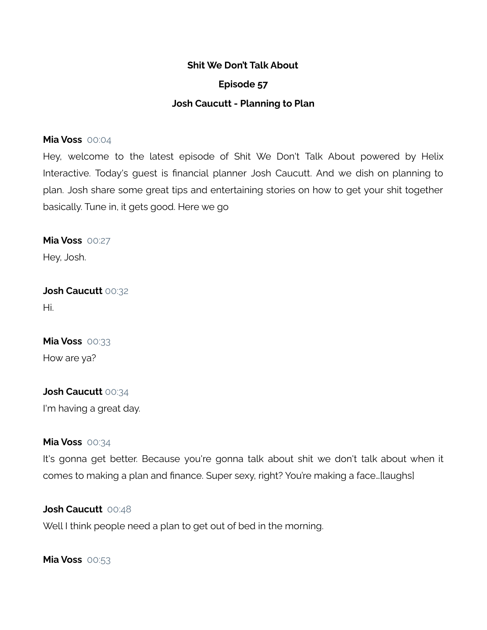## **Episode 57**

#### **Josh Caucutt - Planning to Plan**

#### **Mia Voss** 00:04

Hey, welcome to the latest episode of Shit We Don't Talk About powered by Helix Interactive. Today's guest is financial planner Josh Caucutt. And we dish on planning to plan. Josh share some great tips and entertaining stories on how to get your shit together basically. Tune in, it gets good. Here we go

**Mia Voss** 00:27

Hey, Josh.

**Josh Caucutt** 00:32 Hi.

# **Mia Voss** 00:33

How are ya?

## **Josh Caucutt** 00:34

I'm having a great day.

#### **Mia Voss** 00:34

It's gonna get better. Because you're gonna talk about shit we don't talk about when it comes to making a plan and finance. Super sexy, right? You're making a face…[laughs]

#### **Josh Caucutt** 00:48

Well I think people need a plan to get out of bed in the morning.

**Mia Voss** 00:53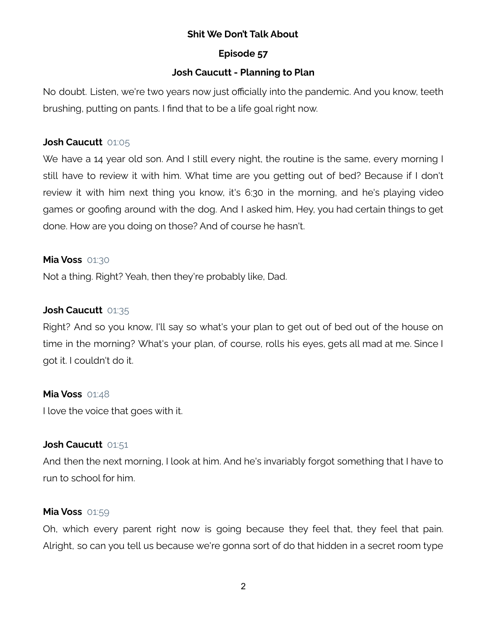## **Episode 57**

## **Josh Caucutt - Planning to Plan**

No doubt. Listen, we're two years now just officially into the pandemic. And you know, teeth brushing, putting on pants. I find that to be a life goal right now.

## **Josh Caucutt** 01:05

We have a 14 year old son. And I still every night, the routine is the same, every morning I still have to review it with him. What time are you getting out of bed? Because if I don't review it with him next thing you know, it's 6:30 in the morning, and he's playing video games or goofing around with the dog. And I asked him, Hey, you had certain things to get done. How are you doing on those? And of course he hasn't.

## **Mia Voss** 01:30

Not a thing. Right? Yeah, then they're probably like, Dad.

## **Josh Caucutt** 01:35

Right? And so you know, I'll say so what's your plan to get out of bed out of the house on time in the morning? What's your plan, of course, rolls his eyes, gets all mad at me. Since I got it. I couldn't do it.

## **Mia Voss** 01:48

I love the voice that goes with it.

## **Josh Caucutt** 01:51

And then the next morning, I look at him. And he's invariably forgot something that I have to run to school for him.

## **Mia Voss** 01:59

Oh, which every parent right now is going because they feel that, they feel that pain. Alright, so can you tell us because we're gonna sort of do that hidden in a secret room type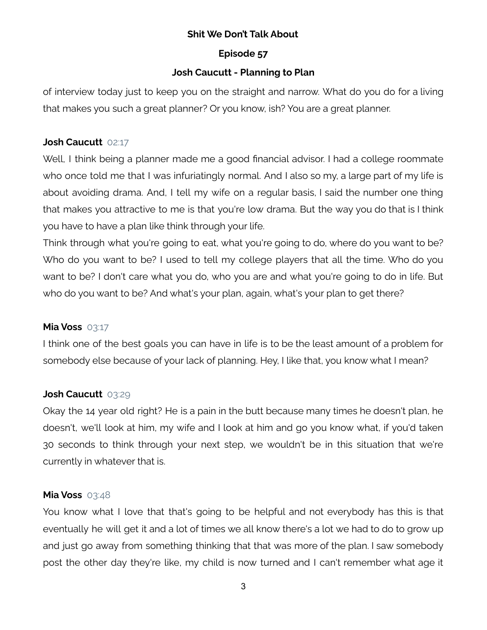## **Episode 57**

## **Josh Caucutt - Planning to Plan**

of interview today just to keep you on the straight and narrow. What do you do for a living that makes you such a great planner? Or you know, ish? You are a great planner.

## **Josh Caucutt** 02:17

Well, I think being a planner made me a good financial advisor. I had a college roommate who once told me that I was infuriatingly normal. And I also so my, a large part of my life is about avoiding drama. And, I tell my wife on a regular basis, I said the number one thing that makes you attractive to me is that you're low drama. But the way you do that is I think you have to have a plan like think through your life.

Think through what you're going to eat, what you're going to do, where do you want to be? Who do you want to be? I used to tell my college players that all the time. Who do you want to be? I don't care what you do, who you are and what you're going to do in life. But who do you want to be? And what's your plan, again, what's your plan to get there?

## **Mia Voss** 03:17

I think one of the best goals you can have in life is to be the least amount of a problem for somebody else because of your lack of planning. Hey, I like that, you know what I mean?

## **Josh Caucutt** 03:29

Okay the 14 year old right? He is a pain in the butt because many times he doesn't plan, he doesn't, we'll look at him, my wife and I look at him and go you know what, if you'd taken 30 seconds to think through your next step, we wouldn't be in this situation that we're currently in whatever that is.

## **Mia Voss** 03:48

You know what I love that that's going to be helpful and not everybody has this is that eventually he will get it and a lot of times we all know there's a lot we had to do to grow up and just go away from something thinking that that was more of the plan. I saw somebody post the other day they're like, my child is now turned and I can't remember what age it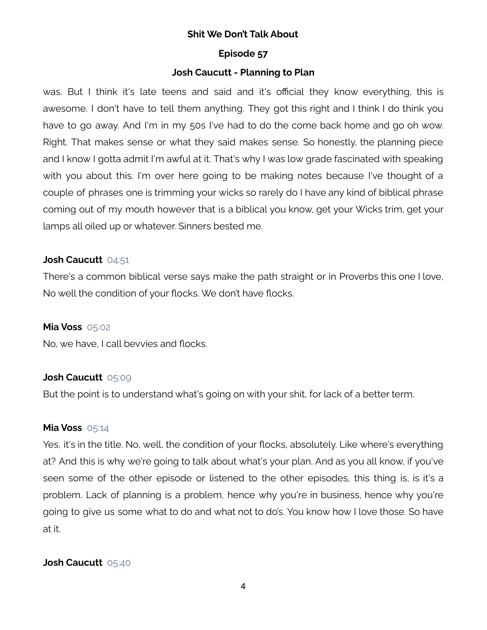#### **Episode 57**

## **Josh Caucutt - Planning to Plan**

was. But I think it's late teens and said and it's official they know everything, this is awesome. I don't have to tell them anything. They got this right and I think I do think you have to go away. And I'm in my 50s I've had to do the come back home and go oh wow. Right. That makes sense or what they said makes sense. So honestly, the planning piece and I know I gotta admit I'm awful at it. That's why I was low grade fascinated with speaking with you about this. I'm over here going to be making notes because I've thought of a couple of phrases one is trimming your wicks so rarely do I have any kind of biblical phrase coming out of my mouth however that is a biblical you know, get your Wicks trim, get your lamps all oiled up or whatever. Sinners bested me.

#### **Josh Caucutt** 04:51

There's a common biblical verse says make the path straight or in Proverbs this one I love, No well the condition of your flocks. We don't have flocks.

#### **Mia Voss** 05:02

No, we have, I call bevvies and flocks.

## **Josh Caucutt** 05:09

But the point is to understand what's going on with your shit, for lack of a better term.

## **Mia Voss** 05:14

Yes, it's in the title. No, well, the condition of your flocks, absolutely. Like where's everything at? And this is why we're going to talk about what's your plan. And as you all know, if you've seen some of the other episode or listened to the other episodes, this thing is, is it's a problem. Lack of planning is a problem, hence why you're in business, hence why you're going to give us some what to do and what not to do's. You know how I love those. So have at it.

## **Josh Caucutt** 05:40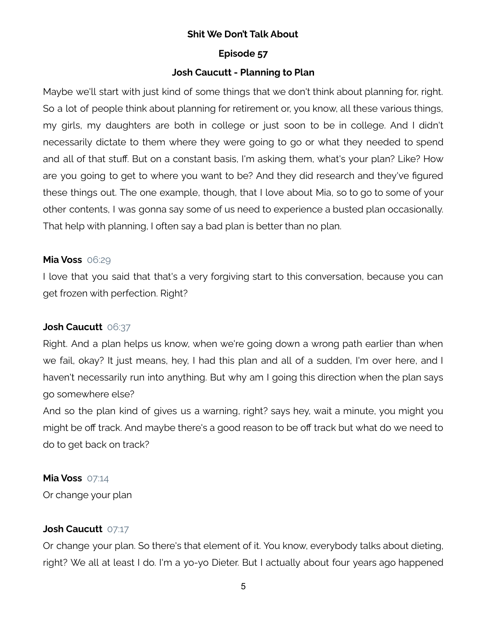#### **Episode 57**

## **Josh Caucutt - Planning to Plan**

Maybe we'll start with just kind of some things that we don't think about planning for, right. So a lot of people think about planning for retirement or, you know, all these various things, my girls, my daughters are both in college or just soon to be in college. And I didn't necessarily dictate to them where they were going to go or what they needed to spend and all of that stuff. But on a constant basis, I'm asking them, what's your plan? Like? How are you going to get to where you want to be? And they did research and they've figured these things out. The one example, though, that I love about Mia, so to go to some of your other contents, I was gonna say some of us need to experience a busted plan occasionally. That help with planning, I often say a bad plan is better than no plan.

## **Mia Voss** 06:29

I love that you said that that's a very forgiving start to this conversation, because you can get frozen with perfection. Right?

## **Josh Caucutt** 06:37

Right. And a plan helps us know, when we're going down a wrong path earlier than when we fail, okay? It just means, hey, I had this plan and all of a sudden, I'm over here, and I haven't necessarily run into anything. But why am I going this direction when the plan says go somewhere else?

And so the plan kind of gives us a warning, right? says hey, wait a minute, you might you might be off track. And maybe there's a good reason to be off track but what do we need to do to get back on track?

## **Mia Voss** 07:14

Or change your plan

## **Josh Caucutt** 07:17

Or change your plan. So there's that element of it. You know, everybody talks about dieting, right? We all at least I do. I'm a yo-yo Dieter. But I actually about four years ago happened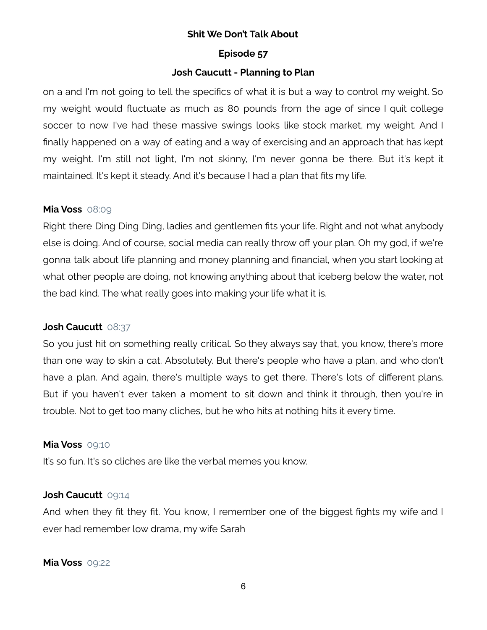#### **Episode 57**

## **Josh Caucutt - Planning to Plan**

on a and I'm not going to tell the specifics of what it is but a way to control my weight. So my weight would fluctuate as much as 80 pounds from the age of since I quit college soccer to now I've had these massive swings looks like stock market, my weight. And I finally happened on a way of eating and a way of exercising and an approach that has kept my weight. I'm still not light, I'm not skinny, I'm never gonna be there. But it's kept it maintained. It's kept it steady. And it's because I had a plan that fits my life.

## **Mia Voss** 08:09

Right there Ding Ding Ding, ladies and gentlemen fits your life. Right and not what anybody else is doing. And of course, social media can really throw off your plan. Oh my god, if we're gonna talk about life planning and money planning and financial, when you start looking at what other people are doing, not knowing anything about that iceberg below the water, not the bad kind. The what really goes into making your life what it is.

## **Josh Caucutt** 08:37

So you just hit on something really critical. So they always say that, you know, there's more than one way to skin a cat. Absolutely. But there's people who have a plan, and who don't have a plan. And again, there's multiple ways to get there. There's lots of different plans. But if you haven't ever taken a moment to sit down and think it through, then you're in trouble. Not to get too many cliches, but he who hits at nothing hits it every time.

#### **Mia Voss** 09:10

It's so fun. It's so cliches are like the verbal memes you know.

## **Josh Caucutt** 09:14

And when they fit they fit. You know, I remember one of the biggest fights my wife and I ever had remember low drama, my wife Sarah

#### **Mia Voss** 09:22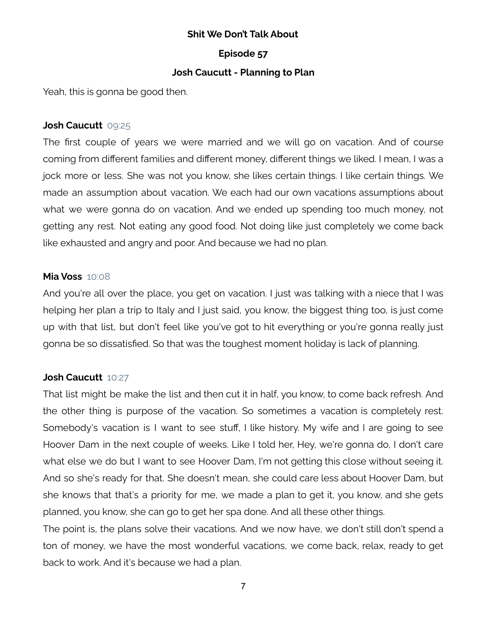#### **Episode 57**

## **Josh Caucutt - Planning to Plan**

Yeah, this is gonna be good then.

## **Josh Caucutt** 09:25

The first couple of years we were married and we will go on vacation. And of course coming from different families and different money, different things we liked. I mean, I was a jock more or less. She was not you know, she likes certain things. I like certain things. We made an assumption about vacation. We each had our own vacations assumptions about what we were gonna do on vacation. And we ended up spending too much money, not getting any rest. Not eating any good food. Not doing like just completely we come back like exhausted and angry and poor. And because we had no plan.

#### **Mia Voss** 10:08

And you're all over the place, you get on vacation. I just was talking with a niece that I was helping her plan a trip to Italy and I just said, you know, the biggest thing too, is just come up with that list, but don't feel like you've got to hit everything or you're gonna really just gonna be so dissatisfied. So that was the toughest moment holiday is lack of planning.

## **Josh Caucutt** 10:27

That list might be make the list and then cut it in half, you know, to come back refresh. And the other thing is purpose of the vacation. So sometimes a vacation is completely rest. Somebody's vacation is I want to see stuff, I like history. My wife and I are going to see Hoover Dam in the next couple of weeks. Like I told her, Hey, we're gonna do, I don't care what else we do but I want to see Hoover Dam, I'm not getting this close without seeing it. And so she's ready for that. She doesn't mean, she could care less about Hoover Dam, but she knows that that's a priority for me, we made a plan to get it, you know, and she gets planned, you know, she can go to get her spa done. And all these other things.

The point is, the plans solve their vacations. And we now have, we don't still don't spend a ton of money, we have the most wonderful vacations, we come back, relax, ready to get back to work. And it's because we had a plan.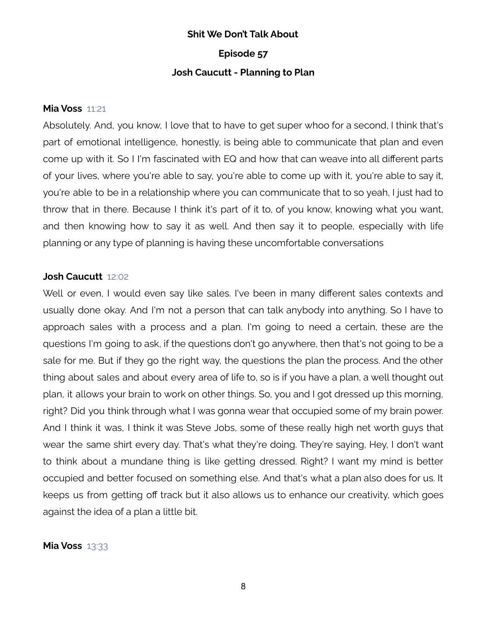## **Shit We Don't Talk About Episode 57 Josh Caucutt - Planning to Plan**

#### **Mia Voss** 11:21

Absolutely. And, you know, I love that to have to get super whoo for a second, I think that's part of emotional intelligence, honestly, is being able to communicate that plan and even come up with it. So I I'm fascinated with EQ and how that can weave into all different parts of your lives, where you're able to say, you're able to come up with it, you're able to say it, you're able to be in a relationship where you can communicate that to so yeah, I just had to throw that in there. Because I think it's part of it to, of you know, knowing what you want, and then knowing how to say it as well. And then say it to people, especially with life planning or any type of planning is having these uncomfortable conversations

#### **Josh Caucutt** 12:02

Well or even, I would even say like sales. I've been in many different sales contexts and usually done okay. And I'm not a person that can talk anybody into anything. So I have to approach sales with a process and a plan. I'm going to need a certain, these are the questions I'm going to ask, if the questions don't go anywhere, then that's not going to be a sale for me. But if they go the right way, the questions the plan the process. And the other thing about sales and about every area of life to, so is if you have a plan, a well thought out plan, it allows your brain to work on other things. So, you and I got dressed up this morning, right? Did you think through what I was gonna wear that occupied some of my brain power. And I think it was, I think it was Steve Jobs, some of these really high net worth guys that wear the same shirt every day. That's what they're doing. They're saying, Hey, I don't want to think about a mundane thing is like getting dressed. Right? I want my mind is better occupied and better focused on something else. And that's what a plan also does for us. It keeps us from getting off track but it also allows us to enhance our creativity, which goes against the idea of a plan a little bit.

## **Mia Voss** 13:33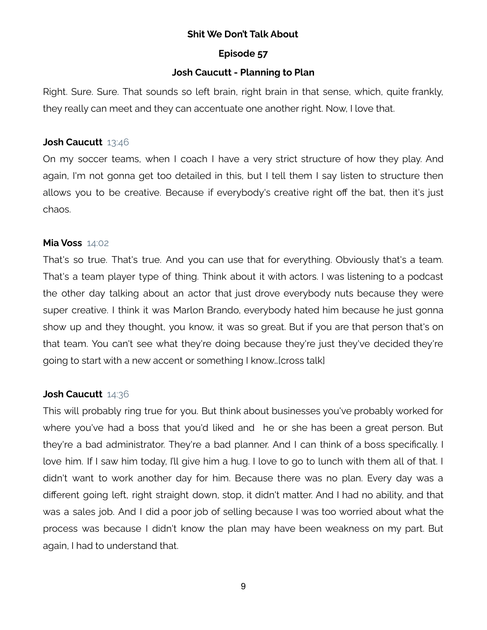#### **Episode 57**

#### **Josh Caucutt - Planning to Plan**

Right. Sure. Sure. That sounds so left brain, right brain in that sense, which, quite frankly, they really can meet and they can accentuate one another right. Now, I love that.

#### **Josh Caucutt** 13:46

On my soccer teams, when I coach I have a very strict structure of how they play. And again, I'm not gonna get too detailed in this, but I tell them I say listen to structure then allows you to be creative. Because if everybody's creative right off the bat, then it's just chaos.

#### **Mia Voss** 14:02

That's so true. That's true. And you can use that for everything. Obviously that's a team. That's a team player type of thing. Think about it with actors. I was listening to a podcast the other day talking about an actor that just drove everybody nuts because they were super creative. I think it was Marlon Brando, everybody hated him because he just gonna show up and they thought, you know, it was so great. But if you are that person that's on that team. You can't see what they're doing because they're just they've decided they're going to start with a new accent or something I know…[cross talk]

#### **Josh Caucutt** 14:36

This will probably ring true for you. But think about businesses you've probably worked for where you've had a boss that you'd liked and he or she has been a great person. But they're a bad administrator. They're a bad planner. And I can think of a boss specifically. I love him. If I saw him today, I'll give him a hug. I love to go to lunch with them all of that. I didn't want to work another day for him. Because there was no plan. Every day was a different going left, right straight down, stop, it didn't matter. And I had no ability, and that was a sales job. And I did a poor job of selling because I was too worried about what the process was because I didn't know the plan may have been weakness on my part. But again, I had to understand that.

9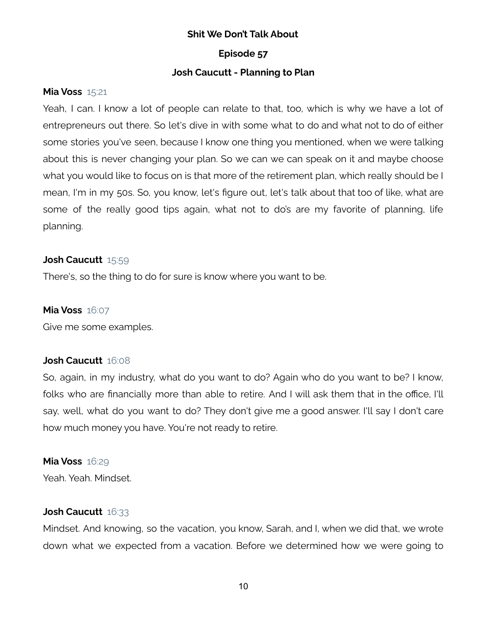## **Episode 57**

## **Josh Caucutt - Planning to Plan**

## **Mia Voss** 15:21

Yeah, I can. I know a lot of people can relate to that, too, which is why we have a lot of entrepreneurs out there. So let's dive in with some what to do and what not to do of either some stories you've seen, because I know one thing you mentioned, when we were talking about this is never changing your plan. So we can we can speak on it and maybe choose what you would like to focus on is that more of the retirement plan, which really should be I mean, I'm in my 50s. So, you know, let's figure out, let's talk about that too of like, what are some of the really good tips again, what not to do's are my favorite of planning, life planning.

## **Josh Caucutt** 15:59

There's, so the thing to do for sure is know where you want to be.

## **Mia Voss** 16:07

Give me some examples.

## **Josh Caucutt** 16:08

So, again, in my industry, what do you want to do? Again who do you want to be? I know, folks who are financially more than able to retire. And I will ask them that in the office, I'll say, well, what do you want to do? They don't give me a good answer. I'll say I don't care how much money you have. You're not ready to retire.

## **Mia Voss** 16:29

Yeah. Yeah. Mindset.

## **Josh Caucutt** 16:33

Mindset. And knowing, so the vacation, you know, Sarah, and I, when we did that, we wrote down what we expected from a vacation. Before we determined how we were going to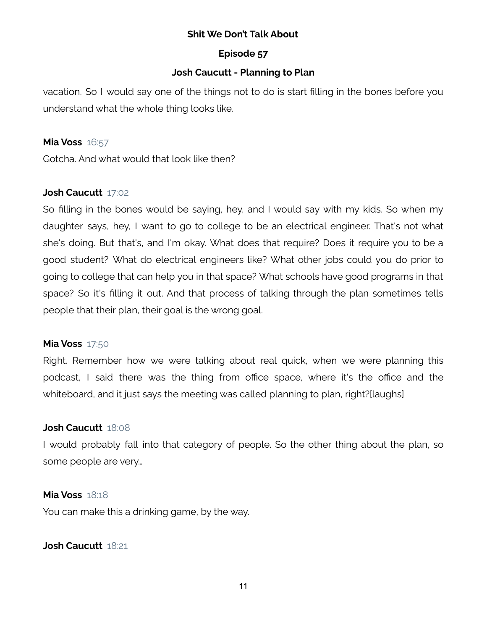## **Episode 57**

## **Josh Caucutt - Planning to Plan**

vacation. So I would say one of the things not to do is start filling in the bones before you understand what the whole thing looks like.

#### **Mia Voss** 16:57

Gotcha. And what would that look like then?

## **Josh Caucutt** 17:02

So filling in the bones would be saying, hey, and I would say with my kids. So when my daughter says, hey, I want to go to college to be an electrical engineer. That's not what she's doing. But that's, and I'm okay. What does that require? Does it require you to be a good student? What do electrical engineers like? What other jobs could you do prior to going to college that can help you in that space? What schools have good programs in that space? So it's filling it out. And that process of talking through the plan sometimes tells people that their plan, their goal is the wrong goal.

## **Mia Voss** 17:50

Right. Remember how we were talking about real quick, when we were planning this podcast, I said there was the thing from office space, where it's the office and the whiteboard, and it just says the meeting was called planning to plan, right?[laughs]

## **Josh Caucutt** 18:08

I would probably fall into that category of people. So the other thing about the plan, so some people are very…

## **Mia Voss** 18:18

You can make this a drinking game, by the way.

## **Josh Caucutt** 18:21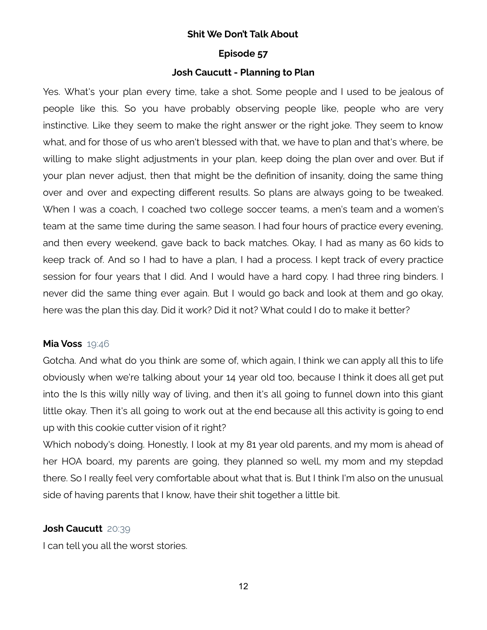#### **Episode 57**

## **Josh Caucutt - Planning to Plan**

Yes. What's your plan every time, take a shot. Some people and I used to be jealous of people like this. So you have probably observing people like, people who are very instinctive. Like they seem to make the right answer or the right joke. They seem to know what, and for those of us who aren't blessed with that, we have to plan and that's where, be willing to make slight adjustments in your plan, keep doing the plan over and over. But if your plan never adjust, then that might be the definition of insanity, doing the same thing over and over and expecting different results. So plans are always going to be tweaked. When I was a coach, I coached two college soccer teams, a men's team and a women's team at the same time during the same season. I had four hours of practice every evening, and then every weekend, gave back to back matches. Okay, I had as many as 60 kids to keep track of. And so I had to have a plan, I had a process. I kept track of every practice session for four years that I did. And I would have a hard copy. I had three ring binders. I never did the same thing ever again. But I would go back and look at them and go okay, here was the plan this day. Did it work? Did it not? What could I do to make it better?

## **Mia Voss** 19:46

Gotcha. And what do you think are some of, which again, I think we can apply all this to life obviously when we're talking about your 14 year old too, because I think it does all get put into the Is this willy nilly way of living, and then it's all going to funnel down into this giant little okay. Then it's all going to work out at the end because all this activity is going to end up with this cookie cutter vision of it right?

Which nobody's doing. Honestly, I look at my 81 year old parents, and my mom is ahead of her HOA board, my parents are going, they planned so well, my mom and my stepdad there. So I really feel very comfortable about what that is. But I think I'm also on the unusual side of having parents that I know, have their shit together a little bit.

## **Josh Caucutt** 20:39

I can tell you all the worst stories.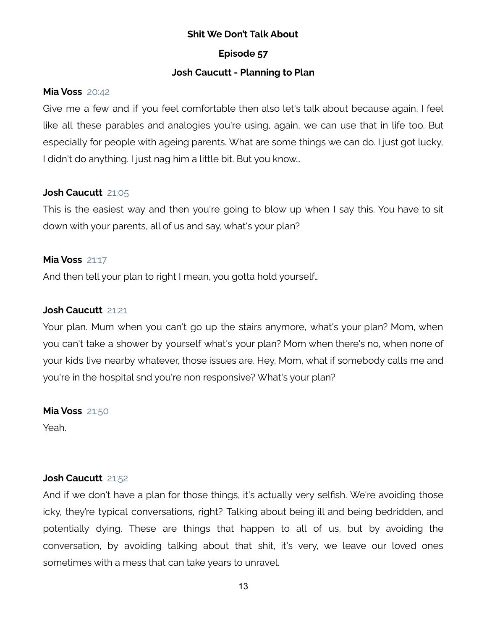## **Episode 57**

## **Josh Caucutt - Planning to Plan**

## **Mia Voss** 20:42

Give me a few and if you feel comfortable then also let's talk about because again, I feel like all these parables and analogies you're using, again, we can use that in life too. But especially for people with ageing parents. What are some things we can do. I just got lucky, I didn't do anything. I just nag him a little bit. But you know…

## **Josh Caucutt** 21:05

This is the easiest way and then you're going to blow up when I say this. You have to sit down with your parents, all of us and say, what's your plan?

## **Mia Voss** 21:17

And then tell your plan to right I mean, you gotta hold yourself…

## **Josh Caucutt** 21:21

Your plan. Mum when you can't go up the stairs anymore, what's your plan? Mom, when you can't take a shower by yourself what's your plan? Mom when there's no, when none of your kids live nearby whatever, those issues are. Hey, Mom, what if somebody calls me and you're in the hospital snd you're non responsive? What's your plan?

**Mia Voss** 21:50

Yeah.

## **Josh Caucutt** 21:52

And if we don't have a plan for those things, it's actually very selfish. We're avoiding those icky, they're typical conversations, right? Talking about being ill and being bedridden, and potentially dying. These are things that happen to all of us, but by avoiding the conversation, by avoiding talking about that shit, it's very, we leave our loved ones sometimes with a mess that can take years to unravel.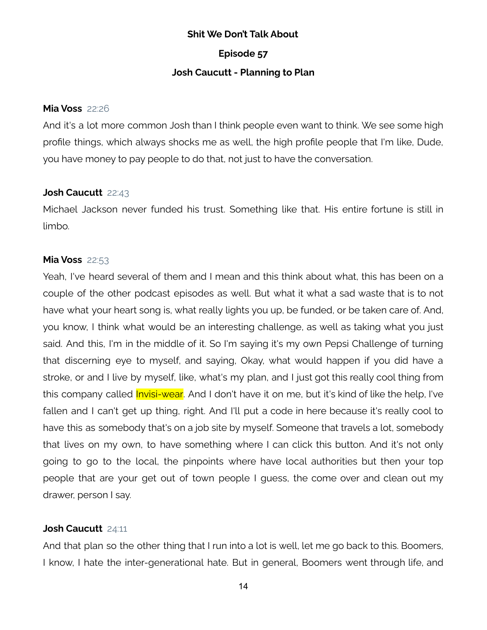**Episode 57**

#### **Josh Caucutt - Planning to Plan**

#### **Mia Voss** 22:26

And it's a lot more common Josh than I think people even want to think. We see some high profile things, which always shocks me as well, the high profile people that I'm like, Dude, you have money to pay people to do that, not just to have the conversation.

#### **Josh Caucutt** 22:43

Michael Jackson never funded his trust. Something like that. His entire fortune is still in limbo.

#### **Mia Voss** 22:53

Yeah, I've heard several of them and I mean and this think about what, this has been on a couple of the other podcast episodes as well. But what it what a sad waste that is to not have what your heart song is, what really lights you up, be funded, or be taken care of. And, you know, I think what would be an interesting challenge, as well as taking what you just said. And this, I'm in the middle of it. So I'm saying it's my own Pepsi Challenge of turning that discerning eye to myself, and saying, Okay, what would happen if you did have a stroke, or and I live by myself, like, what's my plan, and I just got this really cool thing from this company called *Invisi-wear*. And I don't have it on me, but it's kind of like the help, I've fallen and I can't get up thing, right. And I'll put a code in here because it's really cool to have this as somebody that's on a job site by myself. Someone that travels a lot, somebody that lives on my own, to have something where I can click this button. And it's not only going to go to the local, the pinpoints where have local authorities but then your top people that are your get out of town people I guess, the come over and clean out my drawer, person I say.

## **Josh Caucutt** 24:11

And that plan so the other thing that I run into a lot is well, let me go back to this. Boomers, I know, I hate the inter-generational hate. But in general, Boomers went through life, and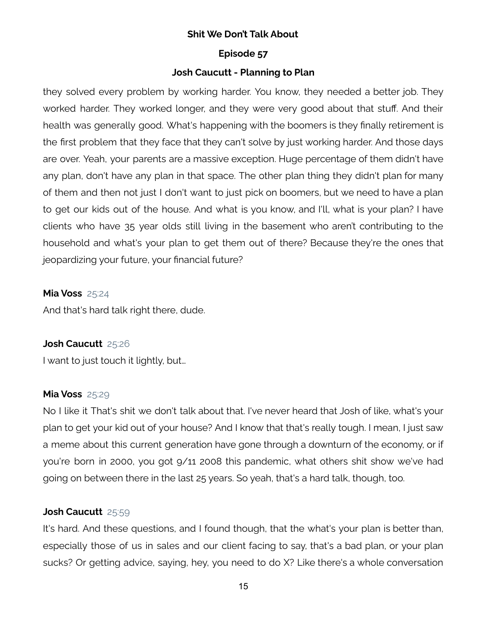#### **Episode 57**

## **Josh Caucutt - Planning to Plan**

they solved every problem by working harder. You know, they needed a better job. They worked harder. They worked longer, and they were very good about that stuff. And their health was generally good. What's happening with the boomers is they finally retirement is the first problem that they face that they can't solve by just working harder. And those days are over. Yeah, your parents are a massive exception. Huge percentage of them didn't have any plan, don't have any plan in that space. The other plan thing they didn't plan for many of them and then not just I don't want to just pick on boomers, but we need to have a plan to get our kids out of the house. And what is you know, and I'll, what is your plan? I have clients who have 35 year olds still living in the basement who aren't contributing to the household and what's your plan to get them out of there? Because they're the ones that jeopardizing your future, your financial future?

#### **Mia Voss** 25:24

And that's hard talk right there, dude.

## **Josh Caucutt** 25:26

I want to just touch it lightly, but…

#### **Mia Voss** 25:29

No I like it That's shit we don't talk about that. I've never heard that Josh of like, what's your plan to get your kid out of your house? And I know that that's really tough. I mean, I just saw a meme about this current generation have gone through a downturn of the economy, or if you're born in 2000, you got 9/11 2008 this pandemic, what others shit show we've had going on between there in the last 25 years. So yeah, that's a hard talk, though, too.

## **Josh Caucutt** 25:59

It's hard. And these questions, and I found though, that the what's your plan is better than, especially those of us in sales and our client facing to say, that's a bad plan, or your plan sucks? Or getting advice, saying, hey, you need to do X? Like there's a whole conversation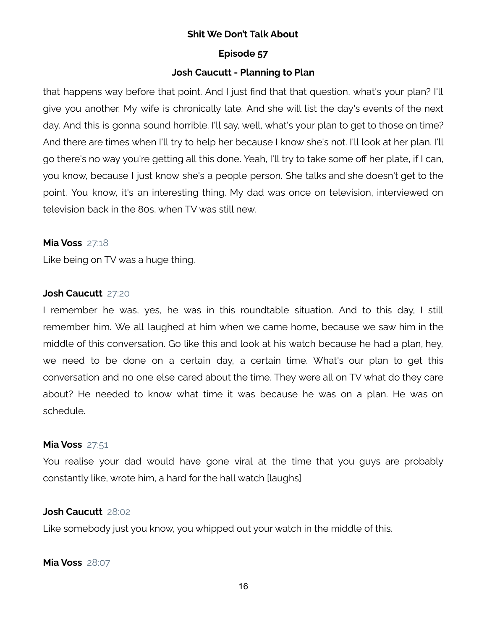#### **Episode 57**

## **Josh Caucutt - Planning to Plan**

that happens way before that point. And I just find that that question, what's your plan? I'll give you another. My wife is chronically late. And she will list the day's events of the next day. And this is gonna sound horrible. I'll say, well, what's your plan to get to those on time? And there are times when I'll try to help her because I know she's not. I'll look at her plan. I'll go there's no way you're getting all this done. Yeah, I'll try to take some off her plate, if I can, you know, because I just know she's a people person. She talks and she doesn't get to the point. You know, it's an interesting thing. My dad was once on television, interviewed on television back in the 80s, when TV was still new.

#### **Mia Voss** 27:18

Like being on TV was a huge thing.

#### **Josh Caucutt** 27:20

I remember he was, yes, he was in this roundtable situation. And to this day, I still remember him. We all laughed at him when we came home, because we saw him in the middle of this conversation. Go like this and look at his watch because he had a plan, hey, we need to be done on a certain day, a certain time. What's our plan to get this conversation and no one else cared about the time. They were all on TV what do they care about? He needed to know what time it was because he was on a plan. He was on schedule.

#### **Mia Voss** 27:51

You realise your dad would have gone viral at the time that you guys are probably constantly like, wrote him, a hard for the hall watch [laughs]

#### **Josh Caucutt** 28:02

Like somebody just you know, you whipped out your watch in the middle of this.

**Mia Voss** 28:07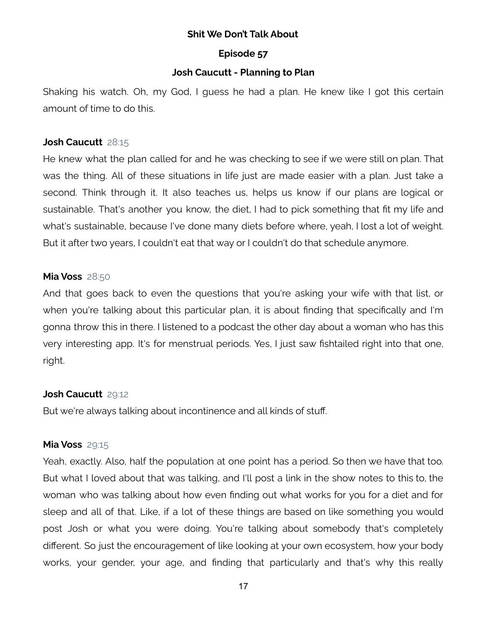## **Episode 57**

## **Josh Caucutt - Planning to Plan**

Shaking his watch. Oh, my God, I guess he had a plan. He knew like I got this certain amount of time to do this.

#### **Josh Caucutt** 28:15

He knew what the plan called for and he was checking to see if we were still on plan. That was the thing. All of these situations in life just are made easier with a plan. Just take a second. Think through it. It also teaches us, helps us know if our plans are logical or sustainable. That's another you know, the diet, I had to pick something that fit my life and what's sustainable, because I've done many diets before where, yeah, I lost a lot of weight. But it after two years, I couldn't eat that way or I couldn't do that schedule anymore.

## **Mia Voss** 28:50

And that goes back to even the questions that you're asking your wife with that list, or when you're talking about this particular plan, it is about finding that specifically and I'm gonna throw this in there. I listened to a podcast the other day about a woman who has this very interesting app. It's for menstrual periods. Yes, I just saw fishtailed right into that one, right.

## **Josh Caucutt** 29:12

But we're always talking about incontinence and all kinds of stuff.

## **Mia Voss** 29:15

Yeah, exactly. Also, half the population at one point has a period. So then we have that too. But what I loved about that was talking, and I'll post a link in the show notes to this to, the woman who was talking about how even finding out what works for you for a diet and for sleep and all of that. Like, if a lot of these things are based on like something you would post Josh or what you were doing. You're talking about somebody that's completely different. So just the encouragement of like looking at your own ecosystem, how your body works, your gender, your age, and finding that particularly and that's why this really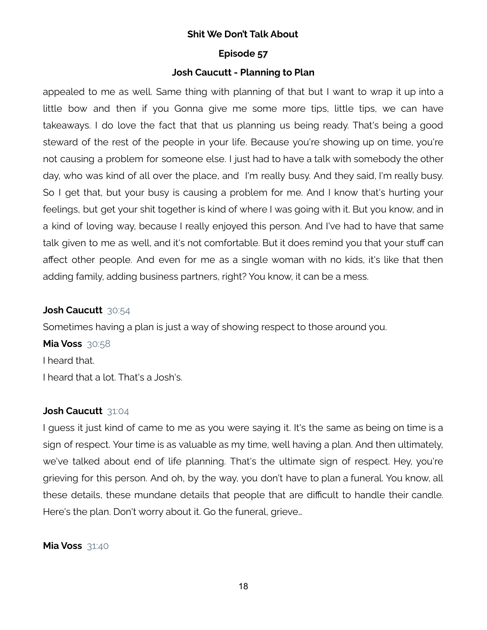#### **Episode 57**

## **Josh Caucutt - Planning to Plan**

appealed to me as well. Same thing with planning of that but I want to wrap it up into a little bow and then if you Gonna give me some more tips, little tips, we can have takeaways. I do love the fact that that us planning us being ready. That's being a good steward of the rest of the people in your life. Because you're showing up on time, you're not causing a problem for someone else. I just had to have a talk with somebody the other day, who was kind of all over the place, and I'm really busy. And they said, I'm really busy. So I get that, but your busy is causing a problem for me. And I know that's hurting your feelings, but get your shit together is kind of where I was going with it. But you know, and in a kind of loving way, because I really enjoyed this person. And I've had to have that same talk given to me as well, and it's not comfortable. But it does remind you that your stuff can affect other people. And even for me as a single woman with no kids, it's like that then adding family, adding business partners, right? You know, it can be a mess.

## **Josh Caucutt** 30:54

Sometimes having a plan is just a way of showing respect to those around you.

**Mia Voss** 30:58 I heard that. I heard that a lot. That's a Josh's.

## **Josh Caucutt** 31:04

I guess it just kind of came to me as you were saying it. It's the same as being on time is a sign of respect. Your time is as valuable as my time, well having a plan. And then ultimately, we've talked about end of life planning. That's the ultimate sign of respect. Hey, you're grieving for this person. And oh, by the way, you don't have to plan a funeral. You know, all these details, these mundane details that people that are difficult to handle their candle. Here's the plan. Don't worry about it. Go the funeral, grieve…

**Mia Voss** 31:40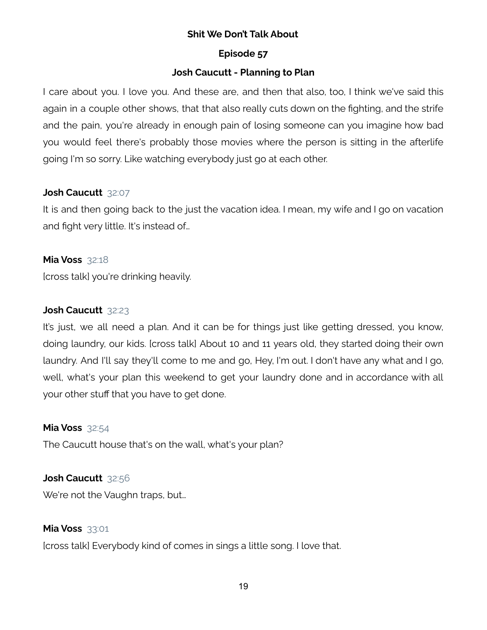## **Episode 57**

## **Josh Caucutt - Planning to Plan**

I care about you. I love you. And these are, and then that also, too, I think we've said this again in a couple other shows, that that also really cuts down on the fighting, and the strife and the pain, you're already in enough pain of losing someone can you imagine how bad you would feel there's probably those movies where the person is sitting in the afterlife going I'm so sorry. Like watching everybody just go at each other.

## **Josh Caucutt** 32:07

It is and then going back to the just the vacation idea. I mean, my wife and I go on vacation and fight very little. It's instead of…

## **Mia Voss** 32:18

[cross talk] you're drinking heavily.

## **Josh Caucutt** 32:23

It's just, we all need a plan. And it can be for things just like getting dressed, you know, doing laundry, our kids. [cross talk] About 10 and 11 years old, they started doing their own laundry. And I'll say they'll come to me and go, Hey, I'm out. I don't have any what and I go, well, what's your plan this weekend to get your laundry done and in accordance with all your other stuff that you have to get done.

## **Mia Voss** 32:54

The Caucutt house that's on the wall, what's your plan?

## **Josh Caucutt** 32:56

We're not the Vaughn traps, but…

## **Mia Voss** 33:01

[cross talk] Everybody kind of comes in sings a little song. I love that.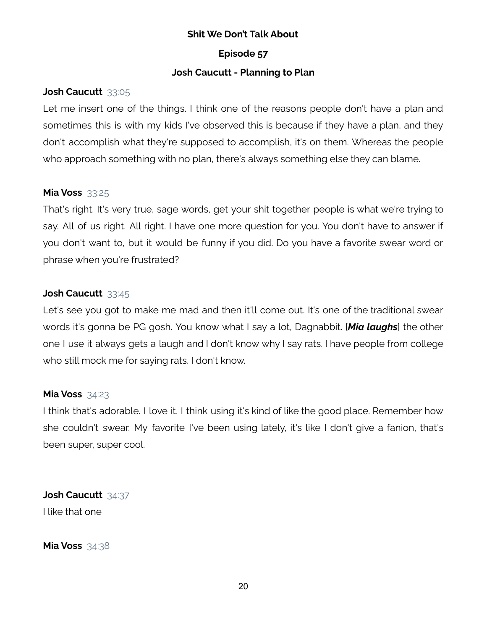## **Episode 57**

## **Josh Caucutt - Planning to Plan**

## **Josh Caucutt** 33:05

Let me insert one of the things. I think one of the reasons people don't have a plan and sometimes this is with my kids I've observed this is because if they have a plan, and they don't accomplish what they're supposed to accomplish, it's on them. Whereas the people who approach something with no plan, there's always something else they can blame.

## **Mia Voss** 33:25

That's right. It's very true, sage words, get your shit together people is what we're trying to say. All of us right. All right. I have one more question for you. You don't have to answer if you don't want to, but it would be funny if you did. Do you have a favorite swear word or phrase when you're frustrated?

## **Josh Caucutt** 33:45

Let's see you got to make me mad and then it'll come out. It's one of the traditional swear words it's gonna be PG gosh. You know what I say a lot, Dagnabbit. [*Mia laughs*] the other one I use it always gets a laugh and I don't know why I say rats. I have people from college who still mock me for saying rats. I don't know.

## **Mia Voss** 34:23

I think that's adorable. I love it. I think using it's kind of like the good place. Remember how she couldn't swear. My favorite I've been using lately, it's like I don't give a fanion, that's been super, super cool.

**Josh Caucutt** 34:37 I like that one

**Mia Voss** 34:38